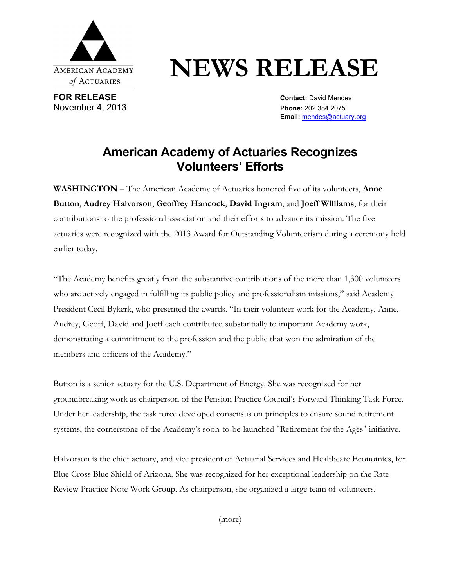

**FOR RELEASE CONTACT: DAVID MENDED ASSESSED ASSESSED AT A CONTACT: David Mendes** November 4, 2013 **Phone:** 202.384.2075

## **NEWS RELEASE**

**Email:** mendes@actuary.org

## **American Academy of Actuaries Recognizes Volunteers' Efforts**

**WASHINGTON –** The American Academy of Actuaries honored five of its volunteers, **Anne Button**, **Audrey Halvorson**, **Geoffrey Hancock**, **David Ingram**, and **Joeff Williams**, for their contributions to the professional association and their efforts to advance its mission. The five actuaries were recognized with the 2013 Award for Outstanding Volunteerism during a ceremony held earlier today.

"The Academy benefits greatly from the substantive contributions of the more than 1,300 volunteers who are actively engaged in fulfilling its public policy and professionalism missions," said Academy President Cecil Bykerk, who presented the awards. "In their volunteer work for the Academy, Anne, Audrey, Geoff, David and Joeff each contributed substantially to important Academy work, demonstrating a commitment to the profession and the public that won the admiration of the members and officers of the Academy."

Button is a senior actuary for the U.S. Department of Energy. She was recognized for her groundbreaking work as chairperson of the Pension Practice Council's Forward Thinking Task Force. Under her leadership, the task force developed consensus on principles to ensure sound retirement systems, the cornerstone of the Academy's soon-to-be-launched "Retirement for the Ages" initiative.

Halvorson is the chief actuary, and vice president of Actuarial Services and Healthcare Economics, for Blue Cross Blue Shield of Arizona. She was recognized for her exceptional leadership on the Rate Review Practice Note Work Group. As chairperson, she organized a large team of volunteers,

(more)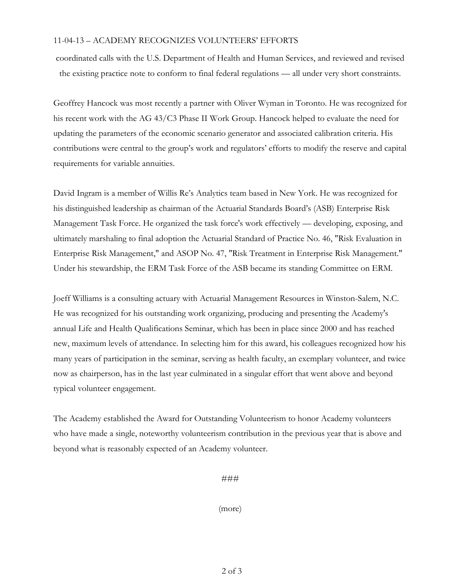## 11-04-13 – ACADEMY RECOGNIZES VOLUNTEERS' EFFORTS

coordinated calls with the U.S. Department of Health and Human Services, and reviewed and revised the existing practice note to conform to final federal regulations — all under very short constraints.

Geoffrey Hancock was most recently a partner with Oliver Wyman in Toronto. He was recognized for his recent work with the AG 43/C3 Phase II Work Group. Hancock helped to evaluate the need for updating the parameters of the economic scenario generator and associated calibration criteria. His contributions were central to the group's work and regulators' efforts to modify the reserve and capital requirements for variable annuities.

David Ingram is a member of Willis Re's Analytics team based in New York. He was recognized for his distinguished leadership as chairman of the Actuarial Standards Board's (ASB) Enterprise Risk Management Task Force. He organized the task force's work effectively — developing, exposing, and ultimately marshaling to final adoption the Actuarial Standard of Practice No. 46, "Risk Evaluation in Enterprise Risk Management," and ASOP No. 47, "Risk Treatment in Enterprise Risk Management." Under his stewardship, the ERM Task Force of the ASB became its standing Committee on ERM.

Joeff Williams is a consulting actuary with Actuarial Management Resources in Winston-Salem, N.C. He was recognized for his outstanding work organizing, producing and presenting the Academy's annual Life and Health Qualifications Seminar, which has been in place since 2000 and has reached new, maximum levels of attendance. In selecting him for this award, his colleagues recognized how his many years of participation in the seminar, serving as health faculty, an exemplary volunteer, and twice now as chairperson, has in the last year culminated in a singular effort that went above and beyond typical volunteer engagement.

The Academy established the Award for Outstanding Volunteerism to honor Academy volunteers who have made a single, noteworthy volunteerism contribution in the previous year that is above and beyond what is reasonably expected of an Academy volunteer.

###

(more)